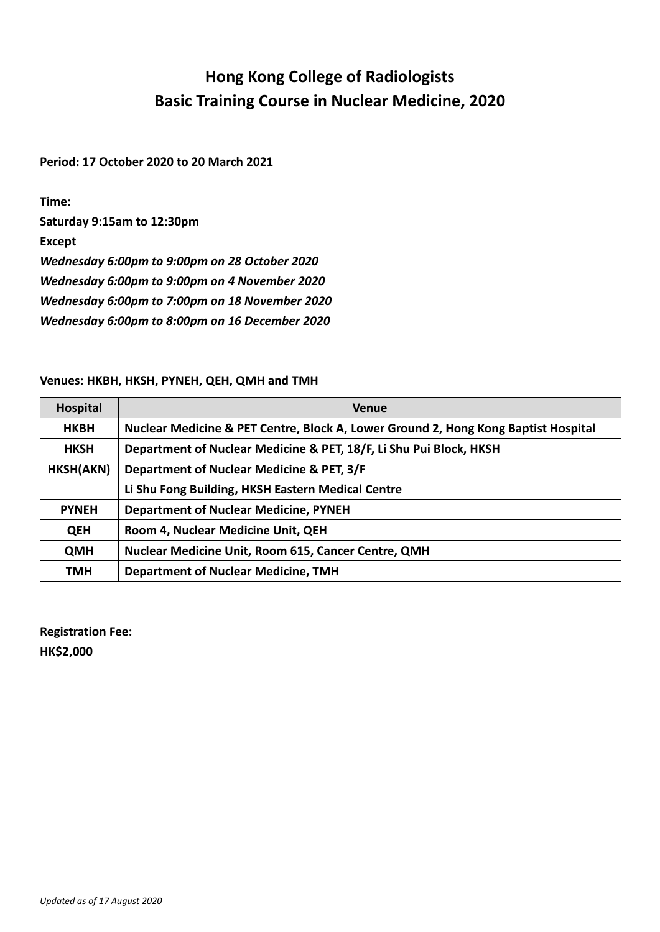## **Hong Kong College of Radiologists Basic Training Course in Nuclear Medicine, 2020**

**Period: 17 October 2020 to 20 March 2021**

**Time:** 

**Saturday 9:15am to 12:30pm**

**Except**

*Wednesday 6:00pm to 9:00pm on 28 October 2020*

*Wednesday 6:00pm to 9:00pm on 4 November 2020*

*Wednesday 6:00pm to 7:00pm on 18 November 2020*

*Wednesday 6:00pm to 8:00pm on 16 December 2020*

## **Venues: HKBH, HKSH, PYNEH, QEH, QMH and TMH**

| Hospital     | <b>Venue</b>                                                                       |
|--------------|------------------------------------------------------------------------------------|
| <b>HKBH</b>  | Nuclear Medicine & PET Centre, Block A, Lower Ground 2, Hong Kong Baptist Hospital |
| <b>HKSH</b>  | Department of Nuclear Medicine & PET, 18/F, Li Shu Pui Block, HKSH                 |
| HKSH(AKN)    | Department of Nuclear Medicine & PET, 3/F                                          |
|              | Li Shu Fong Building, HKSH Eastern Medical Centre                                  |
| <b>PYNEH</b> | <b>Department of Nuclear Medicine, PYNEH</b>                                       |
| <b>QEH</b>   | Room 4, Nuclear Medicine Unit, QEH                                                 |
| <b>QMH</b>   | <b>Nuclear Medicine Unit, Room 615, Cancer Centre, QMH</b>                         |
| TMH          | <b>Department of Nuclear Medicine, TMH</b>                                         |

**Registration Fee: HK\$2,000**